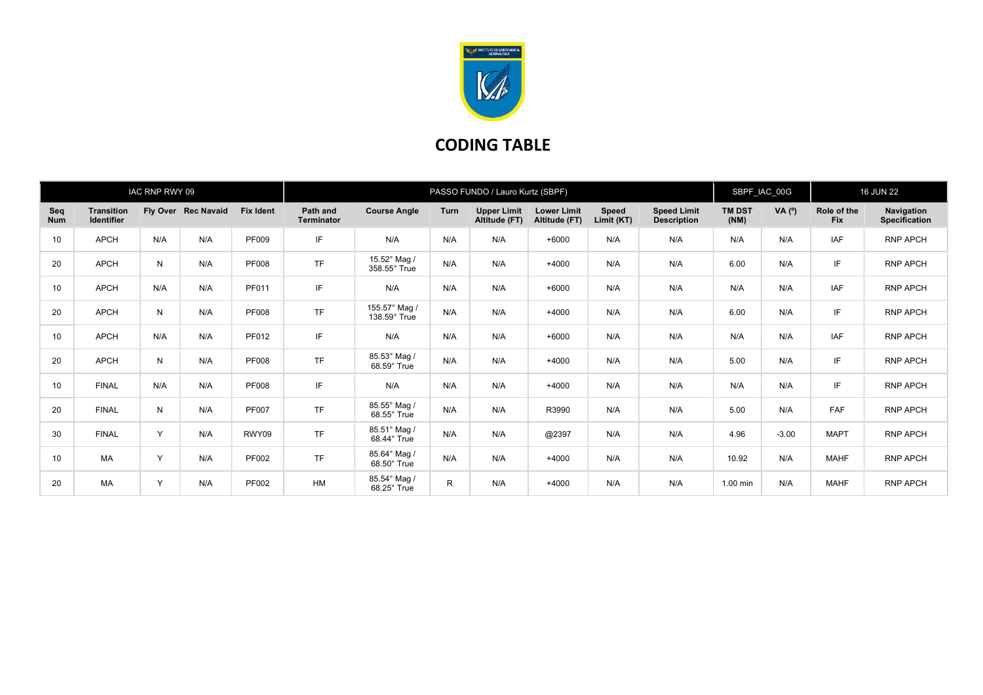

## CODING TABLE

| IAC RNP RWY 09    |                                        |     |                     |                  | PASSO FUNDO / Lauro Kurtz (SBPF) |                                      |             |                                     |                                     |                     |                                          |                       | SBPF_IAC_00G |                           | <b>16 JUN 22</b>                   |  |
|-------------------|----------------------------------------|-----|---------------------|------------------|----------------------------------|--------------------------------------|-------------|-------------------------------------|-------------------------------------|---------------------|------------------------------------------|-----------------------|--------------|---------------------------|------------------------------------|--|
| Seq<br><b>Num</b> | <b>Transition</b><br><b>Identifier</b> |     | Fly Over Rec Navaid | <b>Fix Ident</b> | Path and<br><b>Terminator</b>    | <b>Course Angle</b>                  | <b>Turn</b> | <b>Upper Limit</b><br>Altitude (FT) | <b>Lower Limit</b><br>Altitude (FT) | Speed<br>Limit (KT) | <b>Speed Limit</b><br><b>Description</b> | <b>TM DST</b><br>(NM) | VA $(°)$     | Role of the<br><b>Fix</b> | Navigation<br><b>Specification</b> |  |
| 10                | <b>APCH</b>                            | N/A | N/A                 | PF009            | IF.                              | N/A                                  | N/A         | N/A                                 | $+6000$                             | N/A                 | N/A                                      | N/A                   | N/A          | <b>IAF</b>                | <b>RNP APCH</b>                    |  |
| 20                | <b>APCH</b>                            | N   | N/A                 | <b>PF008</b>     | <b>TF</b>                        | 15.52° Mag /<br>358.55° True         | N/A         | N/A                                 | $+4000$                             | N/A                 | N/A                                      | 6.00                  | N/A          | IF                        | <b>RNP APCH</b>                    |  |
| 10                | <b>APCH</b>                            | N/A | N/A                 | PF011            | IF                               | N/A                                  | N/A         | N/A                                 | $+6000$                             | N/A                 | N/A                                      | N/A                   | N/A          | IAF                       | <b>RNP APCH</b>                    |  |
| 20                | <b>APCH</b>                            | N   | N/A                 | <b>PF008</b>     | <b>TF</b>                        | 155.57° Mag /<br>$138.59^\circ$ True | N/A         | N/A                                 | $+4000$                             | N/A                 | N/A                                      | 6.00                  | N/A          | IF                        | <b>RNP APCH</b>                    |  |
| 10                | <b>APCH</b>                            | N/A | N/A                 | PF012            | IF.                              | N/A                                  | N/A         | N/A                                 | $+6000$                             | N/A                 | N/A                                      | N/A                   | N/A          | <b>IAF</b>                | <b>RNP APCH</b>                    |  |
| 20                | <b>APCH</b>                            | N   | N/A                 | <b>PF008</b>     | <b>TF</b>                        | 85.53° Mag /<br>68.59° True          | N/A         | N/A                                 | $+4000$                             | N/A                 | N/A                                      | 5.00                  | N/A          | IF                        | <b>RNP APCH</b>                    |  |
| 10                | <b>FINAL</b>                           | N/A | N/A                 | <b>PF008</b>     | IF                               | N/A                                  | N/A         | N/A                                 | $+4000$                             | N/A                 | N/A                                      | N/A                   | N/A          | IF                        | <b>RNP APCH</b>                    |  |
| 20                | <b>FINAL</b>                           | N   | N/A                 | <b>PF007</b>     | <b>TF</b>                        | 85.55° Mag /<br>68.55° True          | N/A         | N/A                                 | R3990                               | N/A                 | N/A                                      | 5.00                  | N/A          | <b>FAF</b>                | <b>RNP APCH</b>                    |  |
| 30                | <b>FINAL</b>                           | Y   | N/A                 | RWY09            | <b>TF</b>                        | 85.51° Mag /<br>68.44° True          | N/A         | N/A                                 | @2397                               | N/A                 | N/A                                      | 4.96                  | $-3.00$      | <b>MAPT</b>               | <b>RNP APCH</b>                    |  |
| 10                | <b>MA</b>                              | Y   | N/A                 | PF002            | <b>TF</b>                        | 85.64° Mag /<br>68.50° True          | N/A         | N/A                                 | $+4000$                             | N/A                 | N/A                                      | 10.92                 | N/A          | <b>MAHF</b>               | <b>RNP APCH</b>                    |  |
| 20                | <b>MA</b>                              | Y   | N/A                 | PF002            | <b>HM</b>                        | 85.54° Mag /<br>68.25° True          | R.          | N/A                                 | $+4000$                             | N/A                 | N/A                                      | $1.00$ min            | N/A          | <b>MAHF</b>               | <b>RNP APCH</b>                    |  |